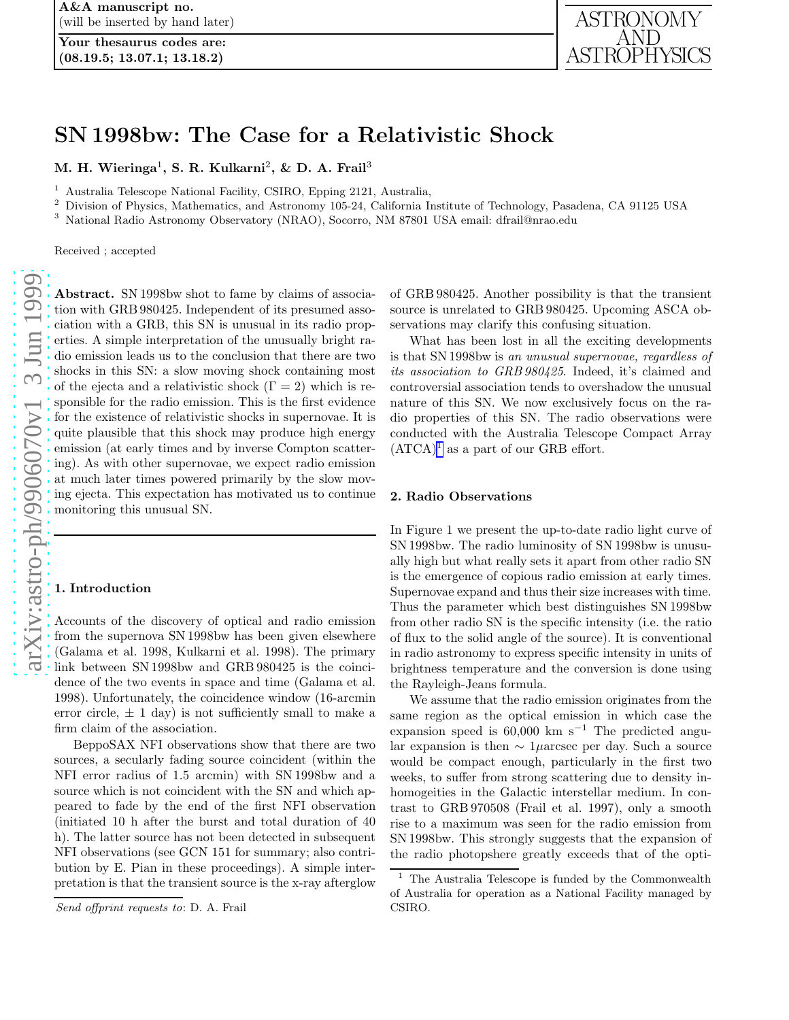

# SN 1998bw: The Case for a Relativistic Shock

M. H. Wieringa<sup>1</sup>, S. R. Kulkarni<sup>2</sup>, & D. A. Frail<sup>3</sup>

 $^1$  Australia Telescope National Facility, CSIRO, Epping 2121, Australia,  $^2$  Division of Physics, Mathematics, and Astronomy 105-24, California Institute of Technology, Pasadena, CA 91125 USA $^3$  National Radio Astrono

Received ; accepted

Abstract. SN 1998bw shot to fame by claims of association with GRB 980425. Independent of its presumed association with a GRB, this SN is unusual in its radio properties. A simple interpretation of the unusually bright radio emission leads us to the conclusion that there are two shocks in this SN: a slow moving shock containing most of the ejecta and a relativistic shock  $(\Gamma = 2)$  which is responsible for the radio emission. This is the first evidence for the existence of relativistic shocks in supernovae. It is quite plausible that this shock may produce high energy emission (at early times and by inverse Compton scattering). As with other supernovae, we expect radio emission at much later times powered primarily by the slow moving ejecta. This expectation has motivated us to continue monitoring this unusual SN.

# 1. Introduction

Accounts of the discovery of optical and radio emission from the supernova SN 1998bw has been given elsewhere (Galama et al. 1998, Kulkarni et al. 1998). The primary link between SN 1998bw and GRB 980425 is the coincidence of the two events in space and time (Galama et al. 1998). Unfortunately, the coincidence window (16-arcmin error circle,  $\pm$  1 day) is not sufficiently small to make a firm claim of the association.

BeppoSAX NFI observations show that there are two sources, a secularly fading source coincident (within the NFI error radius of 1.5 arcmin) with SN 1998bw and a source which is not coincident with the SN and which appeared to fade by the end of the first NFI observation (initiated 10 h after the burst and total duration of 40 h). The latter source has not been detected in subsequent NFI observations (see GCN 151 for summary; also contribution by E. Pian in these proceedings). A simple interpretation is that the transient source is the x-ray afterglow of GRB 980425. Another possibility is that the transient source is unrelated to GRB 980425. Upcoming ASCA observations may clarify this confusing situation.

What has been lost in all the exciting developments is that SN 1998bw is an unusual supernovae, regardless of its association to GRB 980425. Indeed, it's claimed and controversial association tends to overshadow the unusual nature of this SN. We now exclusively focus on the radio properties of this SN. The radio observations were conducted with the Australia Telescope Compact Array  $(ATCA)^1$  as a part of our GRB effort.

#### 2. Radio Observations

In Figure 1 we present the up-to-date radio light curve of SN 1998bw. The radio luminosity of SN 1998bw is unusually high but what really sets it apart from other radio SN is the emergence of copious radio emission at early times. Supernovae expand and thus their size increases with time. Thus the parameter which best distinguishes SN 1998bw from other radio SN is the specific intensity (i.e. the ratio of flux to the solid angle of the source). It is conventional in radio astronomy to express specific intensity in units of brightness temperature and the conversion is done using the Rayleigh-Jeans formula.

We assume that the radio emission originates from the same region as the optical emission in which case the expansion speed is  $60,000 \text{ km s}^{-1}$  The predicted angular expansion is then  $\sim 1\mu$ arcsec per day. Such a source would be compact enough, particularly in the first two weeks, to suffer from strong scattering due to density inhomogeities in the Galactic interstellar medium. In contrast to GRB 970508 (Frail et al. 1997), only a smooth rise to a maximum was seen for the radio emission from SN 1998bw. This strongly suggests that the expansion of the radio photopshere greatly exceeds that of the opti-

Send offprint requests to: D. A. Frail

<sup>1</sup> The Australia Telescope is funded by the Commonwealth of Australia for operation as a National Facility managed by CSIRO.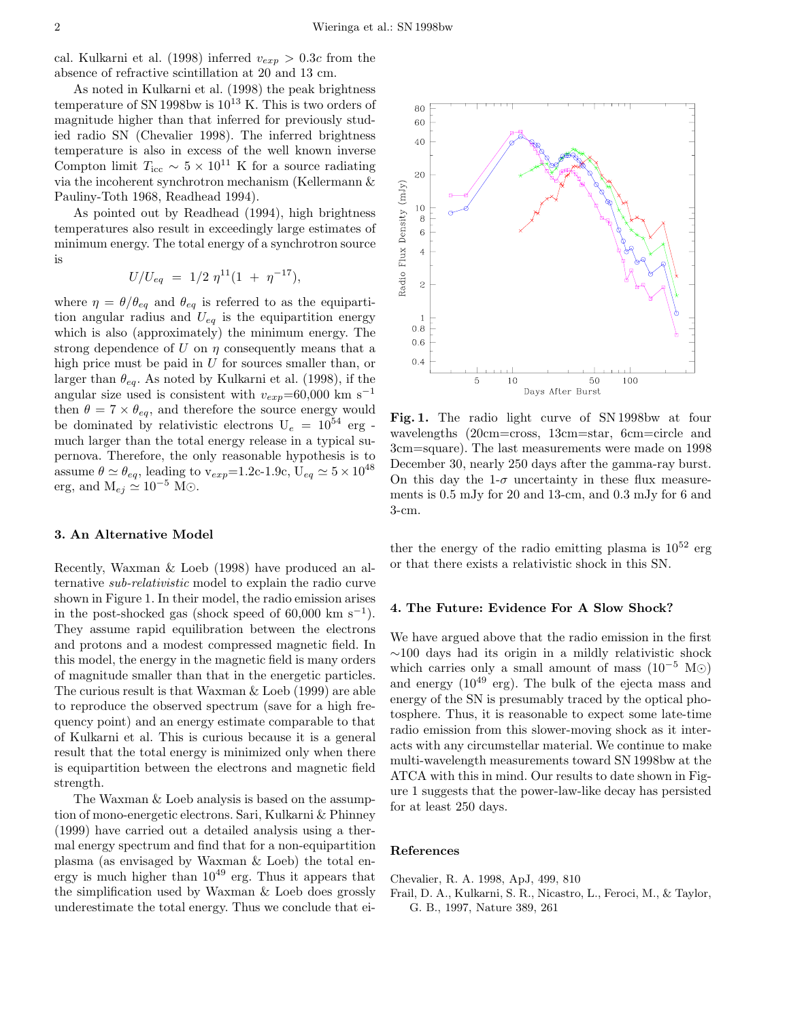cal. Kulkarni et al. (1998) inferred  $v_{exp} > 0.3c$  from the absence of refractive scintillation at 20 and 13 cm.

As noted in Kulkarni et al. (1998) the peak brightness temperature of SN 1998bw is  $10^{13}$  K. This is two orders of magnitude higher than that inferred for previously studied radio SN (Chevalier 1998). The inferred brightness temperature is also in excess of the well known inverse Compton limit  $T_{\text{ice}} \sim 5 \times 10^{11}$  K for a source radiating via the incoherent synchrotron mechanism (Kellermann & Pauliny-Toth 1968, Readhead 1994).

As pointed out by Readhead (1994), high brightness temperatures also result in exceedingly large estimates of minimum energy. The total energy of a synchrotron source is

$$
U/U_{eq} = 1/2 \eta^{11} (1 + \eta^{-17}),
$$

where  $\eta = \theta/\theta_{eq}$  and  $\theta_{eq}$  is referred to as the equipartition angular radius and  $U_{eq}$  is the equipartition energy which is also (approximately) the minimum energy. The strong dependence of U on  $\eta$  consequently means that a high price must be paid in  $U$  for sources smaller than, or larger than  $\theta_{eq}$ . As noted by Kulkarni et al. (1998), if the angular size used is consistent with  $v_{exp}=60,000$  km s<sup>-1</sup> then  $\theta = 7 \times \theta_{eq}$ , and therefore the source energy would be dominated by relativistic electrons  $U_e = 10^{54}$  erg much larger than the total energy release in a typical supernova. Therefore, the only reasonable hypothesis is to assume  $\theta \simeq \theta_{eq}$ , leading to v<sub>exp</sub>=1.2c-1.9c, U<sub>eq</sub>  $\simeq 5 \times 10^{48}$ erg, and  $M_{ei} \simeq 10^{-5}$  M⊙.

### 3. An Alternative Model

Recently, Waxman & Loeb (1998) have produced an alternative sub-relativistic model to explain the radio curve shown in Figure 1. In their model, the radio emission arises in the post-shocked gas (shock speed of  $60,000 \text{ km s}^{-1}$ ). They assume rapid equilibration between the electrons and protons and a modest compressed magnetic field. In this model, the energy in the magnetic field is many orders of magnitude smaller than that in the energetic particles. The curious result is that Waxman & Loeb (1999) are able to reproduce the observed spectrum (save for a high frequency point) and an energy estimate comparable to that of Kulkarni et al. This is curious because it is a general result that the total energy is minimized only when there is equipartition between the electrons and magnetic field strength.

The Waxman & Loeb analysis is based on the assumption of mono-energetic electrons. Sari, Kulkarni & Phinney (1999) have carried out a detailed analysis using a thermal energy spectrum and find that for a non-equipartition plasma (as envisaged by Waxman & Loeb) the total energy is much higher than  $10^{49}$  erg. Thus it appears that the simplification used by Waxman & Loeb does grossly underestimate the total energy. Thus we conclude that ei-

 $10\,$  $\bf{8}$  $\mathbf 6$  $\boldsymbol{2}$  $\overline{1}$  $0.8$  $0.6$  $0.4$  $10$ 100 5 50 Days After Burst Fig. 1. The radio light curve of SN 1998bw at four

wavelengths (20cm=cross, 13cm=star, 6cm=circle and 3cm=square). The last measurements were made on 1998 December 30, nearly 250 days after the gamma-ray burst. On this day the  $1-\sigma$  uncertainty in these flux measurements is 0.5 mJy for 20 and 13-cm, and 0.3 mJy for 6 and 3-cm.

ther the energy of the radio emitting plasma is  $10^{52}$  erg or that there exists a relativistic shock in this SN.

#### 4. The Future: Evidence For A Slow Shock?

We have argued above that the radio emission in the first  $\sim$ 100 days had its origin in a mildly relativistic shock which carries only a small amount of mass  $(10^{-5} \text{ M}\odot)$ and energy  $(10^{49} \text{ erg})$ . The bulk of the ejecta mass and energy of the SN is presumably traced by the optical photosphere. Thus, it is reasonable to expect some late-time radio emission from this slower-moving shock as it interacts with any circumstellar material. We continue to make multi-wavelength measurements toward SN 1998bw at the ATCA with this in mind. Our results to date shown in Figure 1 suggests that the power-law-like decay has persisted for at least 250 days.

## References

Chevalier, R. A. 1998, ApJ, 499, 810

Frail, D. A., Kulkarni, S. R., Nicastro, L., Feroci, M., & Taylor, G. B., 1997, Nature 389, 261